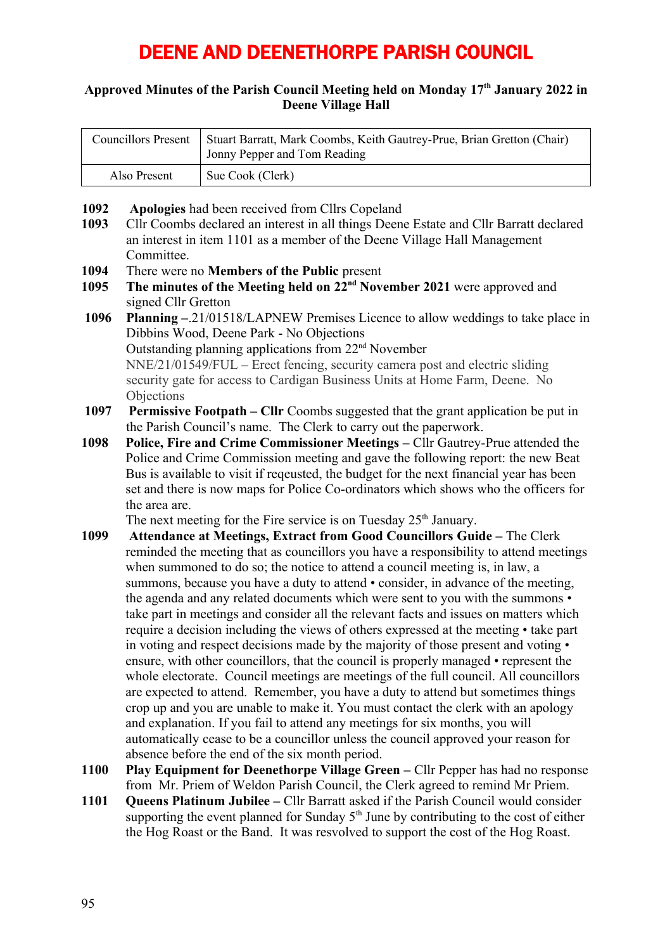# DEENE AND DEENETHORPE PARISH COUNCIL

#### **Approved Minutes of the Parish Council Meeting held on Monday 17th January 2022 in Deene Village Hall**

| Councillors Present | Stuart Barratt, Mark Coombs, Keith Gautrey-Prue, Brian Gretton (Chair)<br>Jonny Pepper and Tom Reading |
|---------------------|--------------------------------------------------------------------------------------------------------|
| Also Present        | Sue Cook (Clerk)                                                                                       |

- **1092 Apologies** had been received from Cllrs Copeland
- **1093** Cllr Coombs declared an interest in all things Deene Estate and Cllr Barratt declared an interest in item 1101 as a member of the Deene Village Hall Management Committee.
- **1094** There were no **Members of the Public** present
- **1095 The minutes of the Meeting held on 22nd November 2021** were approved and signed Cllr Gretton
- **1096 Planning –**.21/01518/LAPNEW Premises Licence to allow weddings to take place in Dibbins Wood, Deene Park - No Objections Outstanding planning applications from 22nd November NNE/21/01549/FUL – Erect fencing, security camera post and electric sliding security gate for access to Cardigan Business Units at Home Farm, Deene. No **Objections**
- **1097 Permissive Footpath Cllr** Coombs suggested that the grant application be put in the Parish Council's name. The Clerk to carry out the paperwork.
- Police and Crime Commission meeting and gave the following report: the new Beat **1098 Police, Fire and Crime Commissioner Meetings –** Cllr Gautrey-Prue attended the Bus is available to visit if reqeusted, the budget for the next financial year has been set and there is now maps for Police Co-ordinators which shows who the officers for the area are.

The next meeting for the Fire service is on Tuesday  $25<sup>th</sup>$  January.

- **1099 Attendance at Meetings, Extract from Good Councillors Guide** The Clerk reminded the meeting that as councillors you have a responsibility to attend meetings when summoned to do so; the notice to attend a council meeting is, in law, a summons, because you have a duty to attend • consider, in advance of the meeting, the agenda and any related documents which were sent to you with the summons • take part in meetings and consider all the relevant facts and issues on matters which require a decision including the views of others expressed at the meeting • take part in voting and respect decisions made by the majority of those present and voting • ensure, with other councillors, that the council is properly managed • represent the whole electorate. Council meetings are meetings of the full council. All councillors are expected to attend. Remember, you have a duty to attend but sometimes things crop up and you are unable to make it. You must contact the clerk with an apology and explanation. If you fail to attend any meetings for six months, you will automatically cease to be a councillor unless the council approved your reason for absence before the end of the six month period.
- **1100 Play Equipment for Deenethorpe Village Green** Cllr Pepper has had no response from Mr. Priem of Weldon Parish Council, the Clerk agreed to remind Mr Priem.
- **1101 Queens Platinum Jubilee** Cllr Barratt asked if the Parish Council would consider supporting the event planned for Sunday  $5<sup>th</sup>$  June by contributing to the cost of either the Hog Roast or the Band. It was resvolved to support the cost of the Hog Roast.